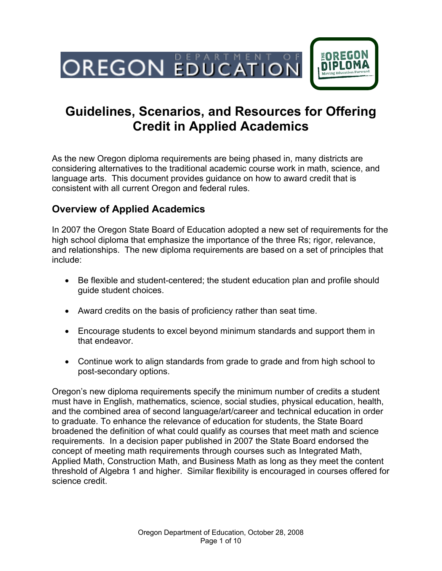

# **Guidelines, Scenarios, and Resources for Offering Credit in Applied Academics**

As the new Oregon diploma requirements are being phased in, many districts are considering alternatives to the traditional academic course work in math, science, and language arts. This document provides guidance on how to award credit that is consistent with all current Oregon and federal rules.

# **Overview of Applied Academics**

In 2007 the Oregon State Board of Education adopted a new set of requirements for the high school diploma that emphasize the importance of the three Rs; rigor, relevance, and relationships. The new diploma requirements are based on a set of principles that include:

- Be flexible and student-centered; the student education plan and profile should guide student choices.
- Award credits on the basis of proficiency rather than seat time.
- Encourage students to excel beyond minimum standards and support them in that endeavor.
- Continue work to align standards from grade to grade and from high school to post-secondary options.

Oregon's new diploma requirements specify the minimum number of credits a student must have in English, mathematics, science, social studies, physical education, health, and the combined area of second language/art/career and technical education in order to graduate. To enhance the relevance of education for students, the State Board broadened the definition of what could qualify as courses that meet math and science requirements. In a decision paper published in 2007 the State Board endorsed the concept of meeting math requirements through courses such as Integrated Math, Applied Math, Construction Math, and Business Math as long as they meet the content threshold of Algebra 1 and higher. Similar flexibility is encouraged in courses offered for science credit.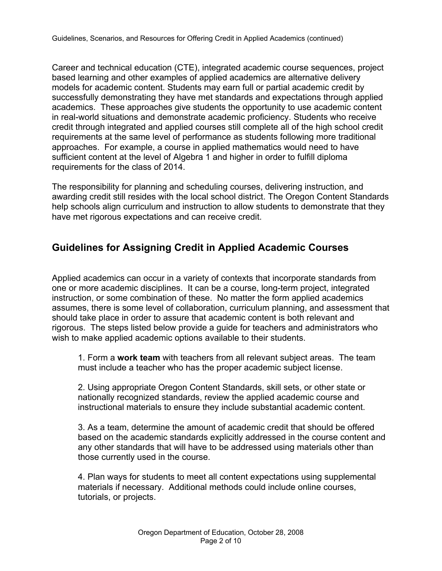Career and technical education (CTE), integrated academic course sequences, project based learning and other examples of applied academics are alternative delivery models for academic content. Students may earn full or partial academic credit by successfully demonstrating they have met standards and expectations through applied academics. These approaches give students the opportunity to use academic content in real-world situations and demonstrate academic proficiency. Students who receive credit through integrated and applied courses still complete all of the high school credit requirements at the same level of performance as students following more traditional approaches. For example, a course in applied mathematics would need to have sufficient content at the level of Algebra 1 and higher in order to fulfill diploma requirements for the class of 2014.

The responsibility for planning and scheduling courses, delivering instruction, and awarding credit still resides with the local school district. The Oregon Content Standards help schools align curriculum and instruction to allow students to demonstrate that they have met rigorous expectations and can receive credit.

# **Guidelines for Assigning Credit in Applied Academic Courses**

Applied academics can occur in a variety of contexts that incorporate standards from one or more academic disciplines. It can be a course, long-term project, integrated instruction, or some combination of these. No matter the form applied academics assumes, there is some level of collaboration, curriculum planning, and assessment that should take place in order to assure that academic content is both relevant and rigorous. The steps listed below provide a guide for teachers and administrators who wish to make applied academic options available to their students.

1. Form a **work team** with teachers from all relevant subject areas. The team must include a teacher who has the proper academic subject license.

2. Using appropriate Oregon Content Standards, skill sets, or other state or nationally recognized standards, review the applied academic course and instructional materials to ensure they include substantial academic content.

3. As a team, determine the amount of academic credit that should be offered based on the academic standards explicitly addressed in the course content and any other standards that will have to be addressed using materials other than those currently used in the course.

4. Plan ways for students to meet all content expectations using supplemental materials if necessary. Additional methods could include online courses, tutorials, or projects.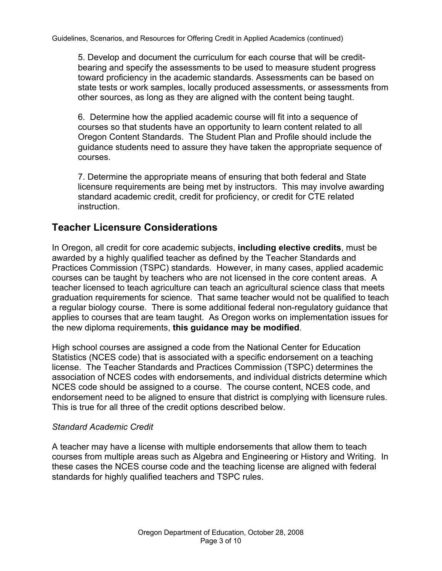5. Develop and document the curriculum for each course that will be creditbearing and specify the assessments to be used to measure student progress toward proficiency in the academic standards. Assessments can be based on state tests or work samples, locally produced assessments, or assessments from other sources, as long as they are aligned with the content being taught.

6. Determine how the applied academic course will fit into a sequence of courses so that students have an opportunity to learn content related to all Oregon Content Standards. The Student Plan and Profile should include the guidance students need to assure they have taken the appropriate sequence of courses.

7. Determine the appropriate means of ensuring that both federal and State licensure requirements are being met by instructors. This may involve awarding standard academic credit, credit for proficiency, or credit for CTE related instruction.

### **Teacher Licensure Considerations**

In Oregon, all credit for core academic subjects, **including elective credits**, must be awarded by a highly qualified teacher as defined by the Teacher Standards and Practices Commission (TSPC) standards. However, in many cases, applied academic courses can be taught by teachers who are not licensed in the core content areas. A teacher licensed to teach agriculture can teach an agricultural science class that meets graduation requirements for science. That same teacher would not be qualified to teach a regular biology course. There is some additional federal non-regulatory guidance that applies to courses that are team taught. As Oregon works on implementation issues for the new diploma requirements, **this guidance may be modified**.

High school courses are assigned a code from the National Center for Education Statistics (NCES code) that is associated with a specific endorsement on a teaching license. The Teacher Standards and Practices Commission (TSPC) determines the association of NCES codes with endorsements, and individual districts determine which NCES code should be assigned to a course. The course content, NCES code, and endorsement need to be aligned to ensure that district is complying with licensure rules. This is true for all three of the credit options described below.

#### *Standard Academic Credit*

A teacher may have a license with multiple endorsements that allow them to teach courses from multiple areas such as Algebra and Engineering or History and Writing. In these cases the NCES course code and the teaching license are aligned with federal standards for highly qualified teachers and TSPC rules.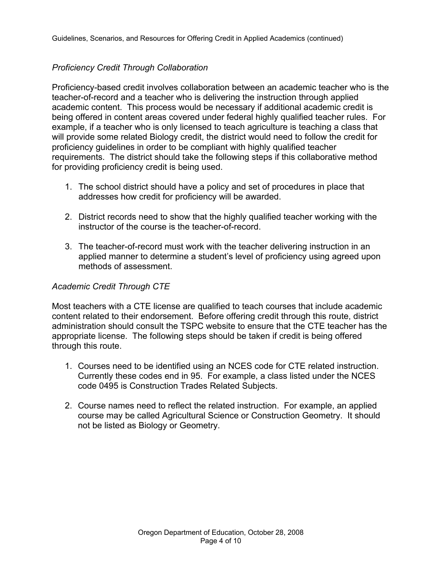### *Proficiency Credit Through Collaboration*

Proficiency-based credit involves collaboration between an academic teacher who is the teacher-of-record and a teacher who is delivering the instruction through applied academic content. This process would be necessary if additional academic credit is being offered in content areas covered under federal highly qualified teacher rules. For example, if a teacher who is only licensed to teach agriculture is teaching a class that will provide some related Biology credit, the district would need to follow the credit for proficiency guidelines in order to be compliant with highly qualified teacher requirements. The district should take the following steps if this collaborative method for providing proficiency credit is being used.

- 1. The school district should have a policy and set of procedures in place that addresses how credit for proficiency will be awarded.
- 2. District records need to show that the highly qualified teacher working with the instructor of the course is the teacher-of-record.
- 3. The teacher-of-record must work with the teacher delivering instruction in an applied manner to determine a student's level of proficiency using agreed upon methods of assessment.

#### *Academic Credit Through CTE*

Most teachers with a CTE license are qualified to teach courses that include academic content related to their endorsement. Before offering credit through this route, district administration should consult the TSPC website to ensure that the CTE teacher has the appropriate license. The following steps should be taken if credit is being offered through this route.

- 1. Courses need to be identified using an NCES code for CTE related instruction. Currently these codes end in 95. For example, a class listed under the NCES code 0495 is Construction Trades Related Subjects.
- 2. Course names need to reflect the related instruction. For example, an applied course may be called Agricultural Science or Construction Geometry. It should not be listed as Biology or Geometry.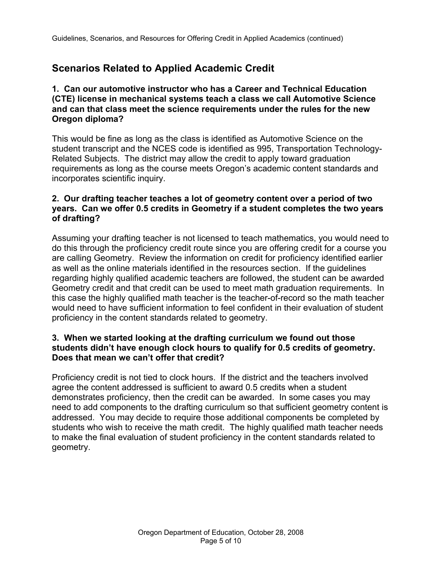# **Scenarios Related to Applied Academic Credit**

#### **1. Can our automotive instructor who has a Career and Technical Education (CTE) license in mechanical systems teach a class we call Automotive Science and can that class meet the science requirements under the rules for the new Oregon diploma?**

This would be fine as long as the class is identified as Automotive Science on the student transcript and the NCES code is identified as 995, Transportation Technology-Related Subjects. The district may allow the credit to apply toward graduation requirements as long as the course meets Oregon's academic content standards and incorporates scientific inquiry.

#### **2. Our drafting teacher teaches a lot of geometry content over a period of two years. Can we offer 0.5 credits in Geometry if a student completes the two years of drafting?**

Assuming your drafting teacher is not licensed to teach mathematics, you would need to do this through the proficiency credit route since you are offering credit for a course you are calling Geometry. Review the information on credit for proficiency identified earlier as well as the online materials identified in the resources section. If the guidelines regarding highly qualified academic teachers are followed, the student can be awarded Geometry credit and that credit can be used to meet math graduation requirements. In this case the highly qualified math teacher is the teacher-of-record so the math teacher would need to have sufficient information to feel confident in their evaluation of student proficiency in the content standards related to geometry.

### **3. When we started looking at the drafting curriculum we found out those students didn't have enough clock hours to qualify for 0.5 credits of geometry. Does that mean we can't offer that credit?**

Proficiency credit is not tied to clock hours. If the district and the teachers involved agree the content addressed is sufficient to award 0.5 credits when a student demonstrates proficiency, then the credit can be awarded. In some cases you may need to add components to the drafting curriculum so that sufficient geometry content is addressed. You may decide to require those additional components be completed by students who wish to receive the math credit. The highly qualified math teacher needs to make the final evaluation of student proficiency in the content standards related to geometry.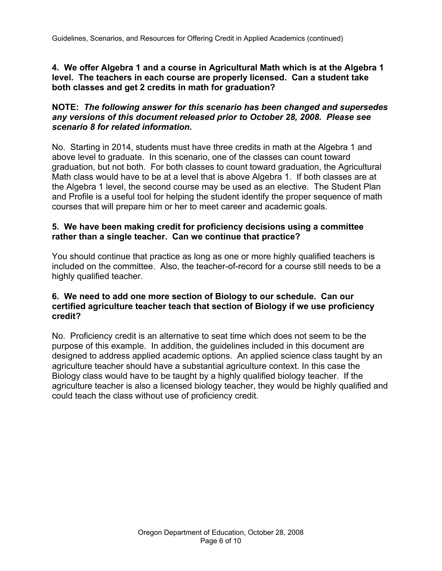**4. We offer Algebra 1 and a course in Agricultural Math which is at the Algebra 1 level. The teachers in each course are properly licensed. Can a student take both classes and get 2 credits in math for graduation?** 

#### **NOTE:** *The following answer for this scenario has been changed and supersedes any versions of this document released prior to October 28, 2008. Please see scenario 8 for related information.*

No. Starting in 2014, students must have three credits in math at the Algebra 1 and above level to graduate. In this scenario, one of the classes can count toward graduation, but not both. For both classes to count toward graduation, the Agricultural Math class would have to be at a level that is above Algebra 1. If both classes are at the Algebra 1 level, the second course may be used as an elective. The Student Plan and Profile is a useful tool for helping the student identify the proper sequence of math courses that will prepare him or her to meet career and academic goals.

#### **5. We have been making credit for proficiency decisions using a committee rather than a single teacher. Can we continue that practice?**

You should continue that practice as long as one or more highly qualified teachers is included on the committee. Also, the teacher-of-record for a course still needs to be a highly qualified teacher.

#### **6. We need to add one more section of Biology to our schedule. Can our certified agriculture teacher teach that section of Biology if we use proficiency credit?**

No. Proficiency credit is an alternative to seat time which does not seem to be the purpose of this example. In addition, the guidelines included in this document are designed to address applied academic options. An applied science class taught by an agriculture teacher should have a substantial agriculture context. In this case the Biology class would have to be taught by a highly qualified biology teacher. If the agriculture teacher is also a licensed biology teacher, they would be highly qualified and could teach the class without use of proficiency credit.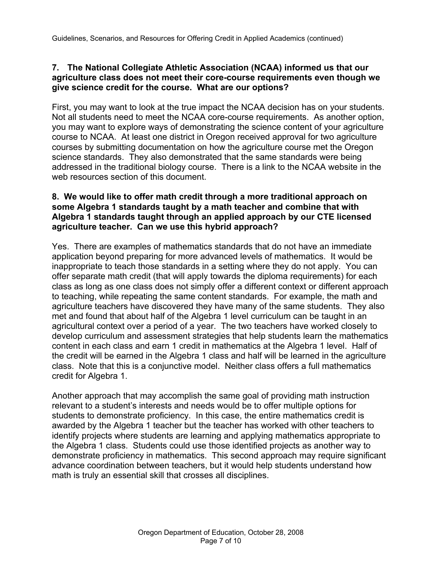### **7. The National Collegiate Athletic Association (NCAA) informed us that our agriculture class does not meet their core-course requirements even though we give science credit for the course. What are our options?**

First, you may want to look at the true impact the NCAA decision has on your students. Not all students need to meet the NCAA core-course requirements. As another option, you may want to explore ways of demonstrating the science content of your agriculture course to NCAA. At least one district in Oregon received approval for two agriculture courses by submitting documentation on how the agriculture course met the Oregon science standards. They also demonstrated that the same standards were being addressed in the traditional biology course. There is a link to the NCAA website in the web resources section of this document.

#### **8. We would like to offer math credit through a more traditional approach on some Algebra 1 standards taught by a math teacher and combine that with Algebra 1 standards taught through an applied approach by our CTE licensed agriculture teacher. Can we use this hybrid approach?**

Yes. There are examples of mathematics standards that do not have an immediate application beyond preparing for more advanced levels of mathematics. It would be inappropriate to teach those standards in a setting where they do not apply. You can offer separate math credit (that will apply towards the diploma requirements) for each class as long as one class does not simply offer a different context or different approach to teaching, while repeating the same content standards. For example, the math and agriculture teachers have discovered they have many of the same students. They also met and found that about half of the Algebra 1 level curriculum can be taught in an agricultural context over a period of a year. The two teachers have worked closely to develop curriculum and assessment strategies that help students learn the mathematics content in each class and earn 1 credit in mathematics at the Algebra 1 level. Half of the credit will be earned in the Algebra 1 class and half will be learned in the agriculture class. Note that this is a conjunctive model. Neither class offers a full mathematics credit for Algebra 1.

Another approach that may accomplish the same goal of providing math instruction relevant to a student's interests and needs would be to offer multiple options for students to demonstrate proficiency. In this case, the entire mathematics credit is awarded by the Algebra 1 teacher but the teacher has worked with other teachers to identify projects where students are learning and applying mathematics appropriate to the Algebra 1 class. Students could use those identified projects as another way to demonstrate proficiency in mathematics. This second approach may require significant advance coordination between teachers, but it would help students understand how math is truly an essential skill that crosses all disciplines.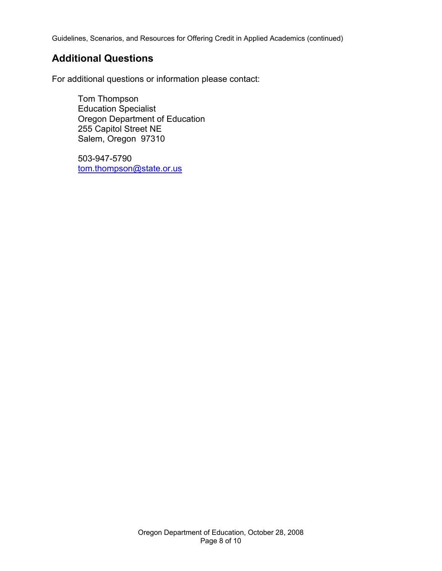Guidelines, Scenarios, and Resources for Offering Credit in Applied Academics (continued)

### **Additional Questions**

For additional questions or information please contact:

 Tom Thompson Education Specialist Oregon Department of Education 255 Capitol Street NE Salem, Oregon 97310

 503-947-5790 [tom.thompson@state.or.us](mailto:tom.thompson@state.or.us)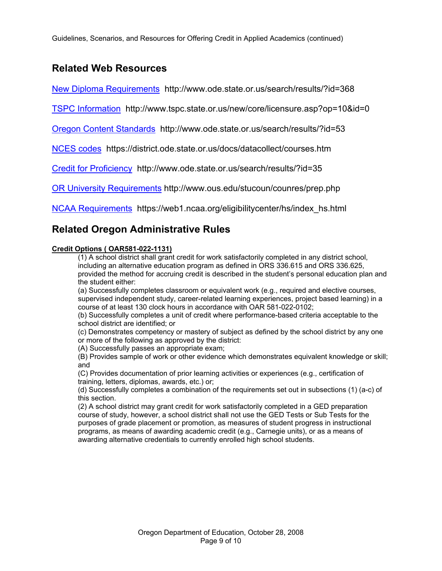Guidelines, Scenarios, and Resources for Offering Credit in Applied Academics (continued)

# **Related Web Resources**

[New Diploma Requirements](http://www.ode.state.or.us/search/results/?id=368) http://www.ode.state.or.us/search/results/?id=368

[TSPC Information](http://www.tspc.state.or.us/new/core/licensure.asp?op=10&id=0) http://www.tspc.state.or.us/new/core/licensure.asp?op=10&id=0

[Oregon Content Standards](http://www.ode.state.or.us/search/results/?id=53) http://www.ode.state.or.us/search/results/?id=53

[NCES codes h](https://district.ode.state.or.us/docs/datacollect/courses.htm)ttps://district.ode.state.or.us/docs/datacollect/courses.htm

[Credit for Proficiency](http://www.ode.state.or.us/search/results/?id=35) http://www.ode.state.or.us/search/results/?id=35

[OR University Requirements h](http://www.ous.edu/stucoun/counres/prep.php)ttp://www.ous.edu/stucoun/counres/prep.php

[NCAA Requirements](https://web1.ncaa.org/eligibilitycenter/hs/index_hs.html) https://web1.ncaa.org/eligibilitycenter/hs/index\_hs.html

### **Related Oregon Administrative Rules**

#### **Credit Options ( OAR581-022-1131)**

(1) A school district shall grant credit for work satisfactorily completed in any district school, including an alternative education program as defined in ORS 336.615 and ORS 336.625, provided the method for accruing credit is described in the student's personal education plan and the student either:

(a) Successfully completes classroom or equivalent work (e.g., required and elective courses, supervised independent study, career-related learning experiences, project based learning) in a course of at least 130 clock hours in accordance with OAR 581-022-0102;

(b) Successfully completes a unit of credit where performance-based criteria acceptable to the school district are identified; or

(c) Demonstrates competency or mastery of subject as defined by the school district by any one or more of the following as approved by the district:

(A) Successfully passes an appropriate exam;

(B) Provides sample of work or other evidence which demonstrates equivalent knowledge or skill; and

(C) Provides documentation of prior learning activities or experiences (e.g., certification of training, letters, diplomas, awards, etc.) or;

(d) Successfully completes a combination of the requirements set out in subsections (1) (a-c) of this section.

(2) A school district may grant credit for work satisfactorily completed in a GED preparation course of study, however, a school district shall not use the GED Tests or Sub Tests for the purposes of grade placement or promotion, as measures of student progress in instructional programs, as means of awarding academic credit (e.g., Carnegie units), or as a means of awarding alternative credentials to currently enrolled high school students.